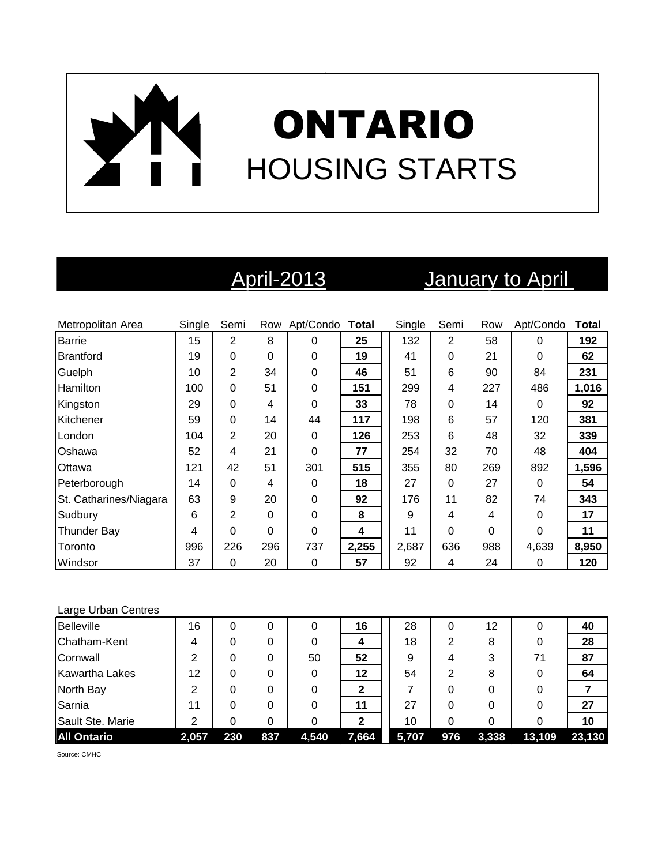# ONTARIO HOUSING STARTS

## April-2013 January to April

| Metropolitan Area      | Single | Semi           |          | Row Apt/Condo Total |       | Single | Semi     | Row      | Apt/Condo | <b>Total</b> |
|------------------------|--------|----------------|----------|---------------------|-------|--------|----------|----------|-----------|--------------|
| <b>Barrie</b>          | 15     | $\overline{2}$ | 8        | 0                   | 25    | 132    | 2        | 58       | $\Omega$  | 192          |
| <b>Brantford</b>       | 19     | 0              | 0        | 0                   | 19    | 41     | 0        | 21       | $\Omega$  | 62           |
| Guelph                 | 10     | 2              | 34       | 0                   | 46    | 51     | 6        | 90       | 84        | 231          |
| Hamilton               | 100    | 0              | 51       | 0                   | 151   | 299    | 4        | 227      | 486       | 1,016        |
| Kingston               | 29     | 0              | 4        | 0                   | 33    | 78     | 0        | 14       | $\Omega$  | 92           |
| Kitchener              | 59     | 0              | 14       | 44                  | 117   | 198    | 6        | 57       | 120       | 381          |
| London                 | 104    | $\overline{2}$ | 20       | 0                   | 126   | 253    | 6        | 48       | 32        | 339          |
| Oshawa                 | 52     | 4              | 21       | 0                   | 77    | 254    | 32       | 70       | 48        | 404          |
| Ottawa                 | 121    | 42             | 51       | 301                 | 515   | 355    | 80       | 269      | 892       | 1,596        |
| Peterborough           | 14     | 0              | 4        | 0                   | 18    | 27     | 0        | 27       | $\Omega$  | 54           |
| St. Catharines/Niagara | 63     | 9              | 20       | 0                   | 92    | 176    | 11       | 82       | 74        | 343          |
| Sudbury                | 6      | $\mathbf{2}$   | $\Omega$ | 0                   | 8     | 9      | 4        | 4        | $\Omega$  | 17           |
| <b>Thunder Bay</b>     | 4      | 0              | 0        | 0                   | 4     | 11     | $\Omega$ | $\Omega$ | $\Omega$  | 11           |
| Toronto                | 996    | 226            | 296      | 737                 | 2,255 | 2,687  | 636      | 988      | 4,639     | 8,950        |
| Windsor                | 37     | 0              | 20       | 0                   | 57    | 92     | 4        | 24       | 0         | 120          |

### Large Urban Centres

| <b>Belleville</b>     | 16    | 0   | 0   | 0     | 16    | 28    | 0   | 12    | 0      | 40     |
|-----------------------|-------|-----|-----|-------|-------|-------|-----|-------|--------|--------|
| Chatham-Kent          | 4     |     |     |       |       | 18    | 2   | 8     |        | 28     |
| Cornwall              | 2     |     |     | 50    | 52    | 9     | 4   | 3     | 71     | 87     |
| <b>Kawartha Lakes</b> | 12    | 0   |     |       | 12    | 54    | 2   | 8     |        | 64     |
| North Bay             | 2     | 0   | 0   |       |       |       | 0   |       |        |        |
| Sarnia                | 11    |     | 0   |       | 11    | 27    | ი   |       |        | 27     |
| Sault Ste. Marie      | 2     |     |     |       | 2     | 10    | 0   |       |        | 10     |
| <b>All Ontario</b>    | 2,057 | 230 | 837 | 4,540 | 7,664 | 5,707 | 976 | 3,338 | 13,109 | 23,130 |

Source: CMHC